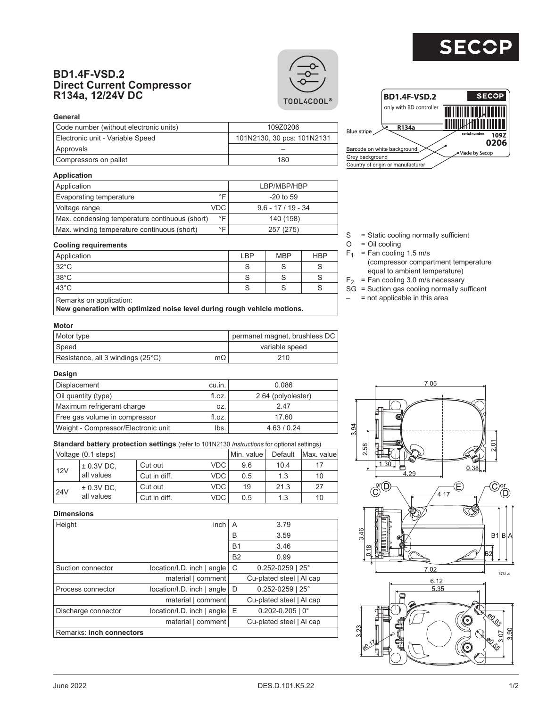# $\mathbf S$

### **BD1.4F-VSD.2 Direct Current Compressor R134a, 12/24V DC**





| --------                               |                            |
|----------------------------------------|----------------------------|
| Code number (without electronic units) | 109Z0206                   |
| Electronic unit - Variable Speed       | 101N2130, 30 pcs: 101N2131 |
| Approvals                              |                            |
| Compressors on pallet                  | 180                        |



### **Application**

| Application                                    |            | LBP/MBP/HBP        |
|------------------------------------------------|------------|--------------------|
| Evaporating temperature                        | ∘⊏         | $-20$ to 59        |
| Voltage range                                  | <b>VDC</b> | $9.6 - 17/19 - 34$ |
| Max. condensing temperature continuous (short) | ∘⊏         | 140 (158)          |
| Max. winding temperature continuous (short)    | °⊏         | 257 (275)          |

#### **Cooling requirements**

| $32^{\circ}$ C |  |  |
|----------------|--|--|
| 38°C           |  |  |
| $43^{\circ}$ C |  |  |

**New generation with optimized noise level during rough vehicle motions.**

**Motor**

| Motor type                        |           | permanet magnet, brushless DC |
|-----------------------------------|-----------|-------------------------------|
| 'Speed                            |           | variable speed                |
| Resistance, all 3 windings (25°C) | $m\Omega$ | 210                           |

# $S =$ Static cooling normally sufficient<br>O = Oil cooling

- = Oil cooling
- $F_1$  = Fan cooling 1.5 m/s
	- (compressor compartment temperature equal to ambient temperature)
- $F_2$  = Fan cooling 3.0 m/s necessary
- $S\bar{G}$  = Suction gas cooling normally sufficent
- $-$  = not applicable in this area

### **Design**

| Displacement                        | cu.in. | 0.086              |
|-------------------------------------|--------|--------------------|
| Oil quantity (type)                 | fl.oz. | 2.64 (polyolester) |
| Maximum refrigerant charge          | OZ.    | 247                |
| Free gas volume in compressor       | fl.oz. | 17.60              |
| Weight - Compressor/Electronic unit | lbs.   | 4.63 / 0.24        |

**Standard battery protection settings** (refer to 101N2130 *Instructions* for optional settings)

|            | Voltage (0.1 steps) |              |            | Min. value | Default | Max. valuel |
|------------|---------------------|--------------|------------|------------|---------|-------------|
| 12V        | $± 0.3V$ DC.        | Cut out      | VDC.       | 9.6        | 10.4    | 17          |
|            | all values          | Cut in diff. | <b>VDC</b> | 0.5        | 1.3     | 10          |
| <b>24V</b> | $\pm$ 0.3V DC,      | Cut out      | <b>VDC</b> | 19         | 21.3    | 27          |
|            | all values          | Cut in diff. | VDC        | 0.5        | 1.3     | 10          |

## 3.94 n<br>2 38  $0.38$ (E)  $\widehat{\textbf{C}}$ (D ,<br>4.17 D)  $B1BA$ 32  $7.02$ 8761-4  $6.12$ 5.35 ে ς.  $\overline{5}$ b ត Ş,

 $7.05$ 

### **Dimensions**

| טווטוסווע                |                               |           |                          |
|--------------------------|-------------------------------|-----------|--------------------------|
| Height                   | inch                          | A         | 3.79                     |
|                          |                               | В         | 3.59                     |
|                          |                               | <b>B1</b> | 3.46                     |
|                          |                               | <b>B2</b> | 0.99                     |
| Suction connector        | $location/I.D.$ inch $ angle$ | C         | $0.252 - 0259$   25°     |
|                          | material   comment            |           | Cu-plated steel   Al cap |
| Process connector        | location/I.D. inch   angle    | D         | $0.252 - 0259$   25°     |
|                          | material   comment            |           | Cu-plated steel   Al cap |
| Discharge connector      | location/I.D. inch   angle    | E         | $0.202 - 0.205$   0°     |
|                          | material   comment            |           | Cu-plated steel   Al cap |
| Remarks: inch connectors |                               |           |                          |